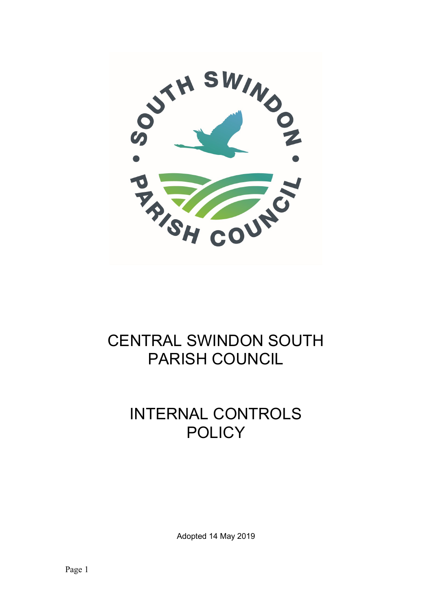

## CENTRAL SWINDON SOUTH PARISH COUNCIL

# INTERNAL CONTROLS **POLICY**

Adopted 14 May 2019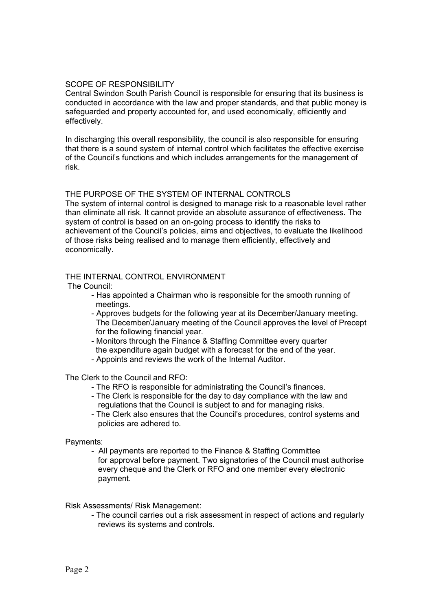## SCOPE OF RESPONSIBILITY

Central Swindon South Parish Council is responsible for ensuring that its business is conducted in accordance with the law and proper standards, and that public money is safeguarded and property accounted for, and used economically, efficiently and effectively.

In discharging this overall responsibility, the council is also responsible for ensuring that there is a sound system of internal control which facilitates the effective exercise of the Council's functions and which includes arrangements for the management of risk.

## THE PURPOSE OF THE SYSTEM OF INTERNAL CONTROLS

The system of internal control is designed to manage risk to a reasonable level rather than eliminate all risk. It cannot provide an absolute assurance of effectiveness. The system of control is based on an on-going process to identify the risks to achievement of the Council's policies, aims and objectives, to evaluate the likelihood of those risks being realised and to manage them efficiently, effectively and economically.

#### THE INTERNAL CONTROL ENVIRONMENT

The Council:

- Has appointed a Chairman who is responsible for the smooth running of meetings.
- Approves budgets for the following year at its December/January meeting. The December/January meeting of the Council approves the level of Precept for the following financial year.
- Monitors through the Finance & Staffing Committee every quarter the expenditure again budget with a forecast for the end of the year.
- Appoints and reviews the work of the Internal Auditor.

The Clerk to the Council and RFO:

- The RFO is responsible for administrating the Council's finances.
- The Clerk is responsible for the day to day compliance with the law and regulations that the Council is subject to and for managing risks.
- The Clerk also ensures that the Council's procedures, control systems and policies are adhered to.

Payments:

- All payments are reported to the Finance & Staffing Committee for approval before payment. Two signatories of the Council must authorise every cheque and the Clerk or RFO and one member every electronic payment.

Risk Assessments/ Risk Management:

- The council carries out a risk assessment in respect of actions and regularly reviews its systems and controls.